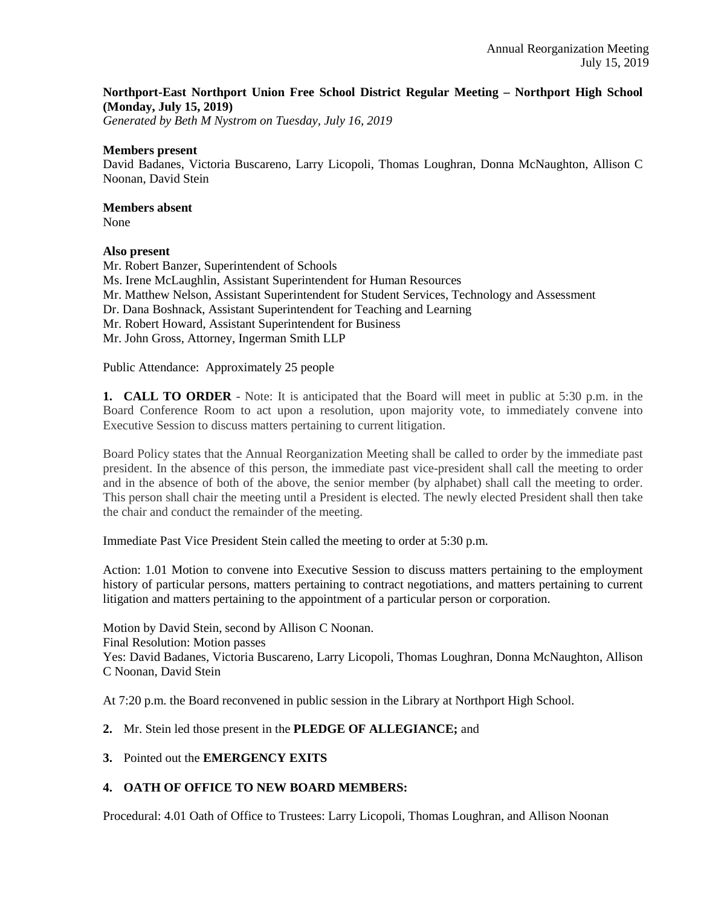### **Northport-East Northport Union Free School District Regular Meeting – Northport High School (Monday, July 15, 2019)**

*Generated by Beth M Nystrom on Tuesday, July 16, 2019*

#### **Members present**

David Badanes, Victoria Buscareno, Larry Licopoli, Thomas Loughran, Donna McNaughton, Allison C Noonan, David Stein

## **Members absent**

None

### **Also present**

Mr. Robert Banzer, Superintendent of Schools Ms. Irene McLaughlin, Assistant Superintendent for Human Resources Mr. Matthew Nelson, Assistant Superintendent for Student Services, Technology and Assessment Dr. Dana Boshnack, Assistant Superintendent for Teaching and Learning Mr. Robert Howard, Assistant Superintendent for Business Mr. John Gross, Attorney, Ingerman Smith LLP

Public Attendance: Approximately 25 people

**1. CALL TO ORDER** - Note: It is anticipated that the Board will meet in public at 5:30 p.m. in the Board Conference Room to act upon a resolution, upon majority vote, to immediately convene into Executive Session to discuss matters pertaining to current litigation.

Board Policy states that the Annual Reorganization Meeting shall be called to order by the immediate past president. In the absence of this person, the immediate past vice-president shall call the meeting to order and in the absence of both of the above, the senior member (by alphabet) shall call the meeting to order. This person shall chair the meeting until a President is elected. The newly elected President shall then take the chair and conduct the remainder of the meeting.

Immediate Past Vice President Stein called the meeting to order at 5:30 p.m.

Action: 1.01 Motion to convene into Executive Session to discuss matters pertaining to the employment history of particular persons, matters pertaining to contract negotiations, and matters pertaining to current litigation and matters pertaining to the appointment of a particular person or corporation.

Motion by David Stein, second by Allison C Noonan. Final Resolution: Motion passes Yes: David Badanes, Victoria Buscareno, Larry Licopoli, Thomas Loughran, Donna McNaughton, Allison C Noonan, David Stein

At 7:20 p.m. the Board reconvened in public session in the Library at Northport High School.

### **2.** Mr. Stein led those present in the **PLEDGE OF ALLEGIANCE;** and

**3.** Pointed out the **EMERGENCY EXITS**

### **4. OATH OF OFFICE TO NEW BOARD MEMBERS:**

Procedural: 4.01 Oath of Office to Trustees: Larry Licopoli, Thomas Loughran, and Allison Noonan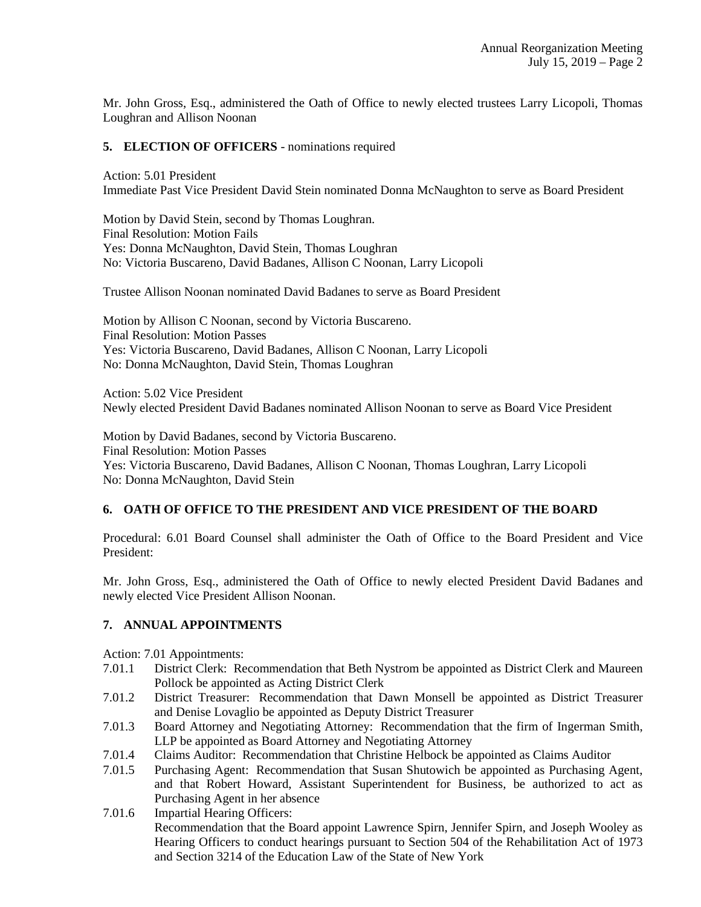Mr. John Gross, Esq., administered the Oath of Office to newly elected trustees Larry Licopoli, Thomas Loughran and Allison Noonan

#### **5. ELECTION OF OFFICERS** - nominations required

Action: 5.01 President Immediate Past Vice President David Stein nominated Donna McNaughton to serve as Board President

Motion by David Stein, second by Thomas Loughran. Final Resolution: Motion Fails Yes: Donna McNaughton, David Stein, Thomas Loughran No: Victoria Buscareno, David Badanes, Allison C Noonan, Larry Licopoli

Trustee Allison Noonan nominated David Badanes to serve as Board President

Motion by Allison C Noonan, second by Victoria Buscareno. Final Resolution: Motion Passes Yes: Victoria Buscareno, David Badanes, Allison C Noonan, Larry Licopoli No: Donna McNaughton, David Stein, Thomas Loughran

Action: 5.02 Vice President Newly elected President David Badanes nominated Allison Noonan to serve as Board Vice President

Motion by David Badanes, second by Victoria Buscareno. Final Resolution: Motion Passes Yes: Victoria Buscareno, David Badanes, Allison C Noonan, Thomas Loughran, Larry Licopoli No: Donna McNaughton, David Stein

### **6. OATH OF OFFICE TO THE PRESIDENT AND VICE PRESIDENT OF THE BOARD**

Procedural: 6.01 Board Counsel shall administer the Oath of Office to the Board President and Vice President:

Mr. John Gross, Esq., administered the Oath of Office to newly elected President David Badanes and newly elected Vice President Allison Noonan.

### **7. ANNUAL APPOINTMENTS**

Action: 7.01 Appointments:

- 7.01.1 District Clerk: Recommendation that Beth Nystrom be appointed as District Clerk and Maureen Pollock be appointed as Acting District Clerk
- 7.01.2 District Treasurer: Recommendation that Dawn Monsell be appointed as District Treasurer and Denise Lovaglio be appointed as Deputy District Treasurer
- 7.01.3 Board Attorney and Negotiating Attorney: Recommendation that the firm of Ingerman Smith, LLP be appointed as Board Attorney and Negotiating Attorney
- 7.01.4 Claims Auditor: Recommendation that Christine Helbock be appointed as Claims Auditor
- 7.01.5 Purchasing Agent: Recommendation that Susan Shutowich be appointed as Purchasing Agent, and that Robert Howard, Assistant Superintendent for Business, be authorized to act as Purchasing Agent in her absence
- 7.01.6 Impartial Hearing Officers: Recommendation that the Board appoint Lawrence Spirn, Jennifer Spirn, and Joseph Wooley as Hearing Officers to conduct hearings pursuant to Section 504 of the Rehabilitation Act of 1973 and Section 3214 of the Education Law of the State of New York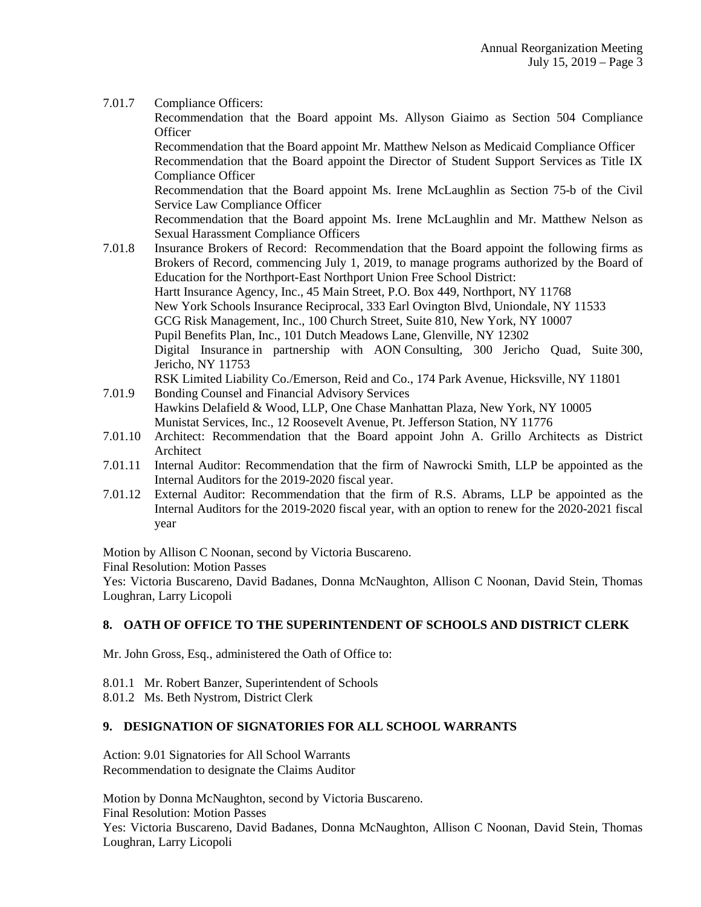7.01.7 Compliance Officers:

Recommendation that the Board appoint Ms. Allyson Giaimo as Section 504 Compliance **Officer** 

Recommendation that the Board appoint Mr. Matthew Nelson as Medicaid Compliance Officer Recommendation that the Board appoint the Director of Student Support Services as Title IX Compliance Officer

Recommendation that the Board appoint Ms. Irene McLaughlin as Section 75-b of the Civil Service Law Compliance Officer

Recommendation that the Board appoint Ms. Irene McLaughlin and Mr. Matthew Nelson as Sexual Harassment Compliance Officers

- 7.01.8 Insurance Brokers of Record: Recommendation that the Board appoint the following firms as Brokers of Record, commencing July 1, 2019, to manage programs authorized by the Board of Education for the Northport-East Northport Union Free School District: Hartt Insurance Agency, Inc., 45 Main Street, P.O. Box 449, Northport, NY 11768 New York Schools Insurance Reciprocal, 333 Earl Ovington Blvd, Uniondale, NY 11533 GCG Risk Management, Inc., 100 Church Street, Suite 810, New York, NY 10007 Pupil Benefits Plan, Inc., 101 Dutch Meadows Lane, Glenville, NY 12302 Digital Insurance in partnership with AON Consulting, 300 Jericho Quad, Suite 300, Jericho, NY 11753
- RSK Limited Liability Co./Emerson, Reid and Co., 174 Park Avenue, Hicksville, NY 11801 7.01.9 Bonding Counsel and Financial Advisory Services Hawkins Delafield & Wood, LLP, One Chase Manhattan Plaza, New York, NY 10005 Munistat Services, Inc., 12 Roosevelt Avenue, Pt. Jefferson Station, NY 11776
- 7.01.10 Architect: Recommendation that the Board appoint John A. Grillo Architects as District Architect
- 7.01.11 Internal Auditor: Recommendation that the firm of Nawrocki Smith, LLP be appointed as the Internal Auditors for the 2019-2020 fiscal year.
- 7.01.12 External Auditor: Recommendation that the firm of R.S. Abrams, LLP be appointed as the Internal Auditors for the 2019-2020 fiscal year, with an option to renew for the 2020-2021 fiscal year

Motion by Allison C Noonan, second by Victoria Buscareno.

Final Resolution: Motion Passes

Yes: Victoria Buscareno, David Badanes, Donna McNaughton, Allison C Noonan, David Stein, Thomas Loughran, Larry Licopoli

### **8. OATH OF OFFICE TO THE SUPERINTENDENT OF SCHOOLS AND DISTRICT CLERK**

Mr. John Gross, Esq., administered the Oath of Office to:

- 8.01.1 Mr. Robert Banzer, Superintendent of Schools
- 8.01.2 Ms. Beth Nystrom, District Clerk

### **9. DESIGNATION OF SIGNATORIES FOR ALL SCHOOL WARRANTS**

Action: 9.01 Signatories for All School Warrants Recommendation to designate the Claims Auditor

Motion by Donna McNaughton, second by Victoria Buscareno. Final Resolution: Motion Passes Yes: Victoria Buscareno, David Badanes, Donna McNaughton, Allison C Noonan, David Stein, Thomas Loughran, Larry Licopoli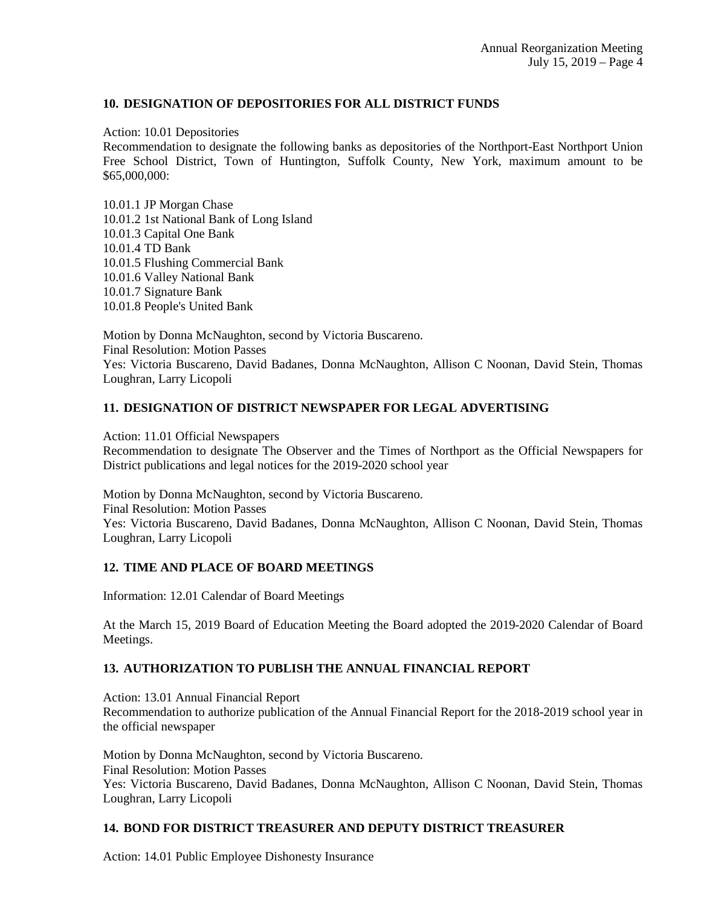## **10. DESIGNATION OF DEPOSITORIES FOR ALL DISTRICT FUNDS**

Action: 10.01 Depositories

Recommendation to designate the following banks as depositories of the Northport-East Northport Union Free School District, Town of Huntington, Suffolk County, New York, maximum amount to be \$65,000,000:

10.01.1 JP Morgan Chase 10.01.2 1st National Bank of Long Island 10.01.3 Capital One Bank 10.01.4 TD Bank 10.01.5 Flushing Commercial Bank 10.01.6 Valley National Bank 10.01.7 Signature Bank 10.01.8 People's United Bank

Motion by Donna McNaughton, second by Victoria Buscareno. Final Resolution: Motion Passes Yes: Victoria Buscareno, David Badanes, Donna McNaughton, Allison C Noonan, David Stein, Thomas Loughran, Larry Licopoli

## **11. DESIGNATION OF DISTRICT NEWSPAPER FOR LEGAL ADVERTISING**

Action: 11.01 Official Newspapers

Recommendation to designate The Observer and the Times of Northport as the Official Newspapers for District publications and legal notices for the 2019-2020 school year

Motion by Donna McNaughton, second by Victoria Buscareno. Final Resolution: Motion Passes Yes: Victoria Buscareno, David Badanes, Donna McNaughton, Allison C Noonan, David Stein, Thomas Loughran, Larry Licopoli

## **12. TIME AND PLACE OF BOARD MEETINGS**

Information: 12.01 Calendar of Board Meetings

At the March 15, 2019 Board of Education Meeting the Board adopted the 2019-2020 Calendar of Board Meetings.

### **13. AUTHORIZATION TO PUBLISH THE ANNUAL FINANCIAL REPORT**

Action: 13.01 Annual Financial Report Recommendation to authorize publication of the Annual Financial Report for the 2018-2019 school year in the official newspaper

Motion by Donna McNaughton, second by Victoria Buscareno. Final Resolution: Motion Passes Yes: Victoria Buscareno, David Badanes, Donna McNaughton, Allison C Noonan, David Stein, Thomas Loughran, Larry Licopoli

### **14. BOND FOR DISTRICT TREASURER AND DEPUTY DISTRICT TREASURER**

Action: 14.01 Public Employee Dishonesty Insurance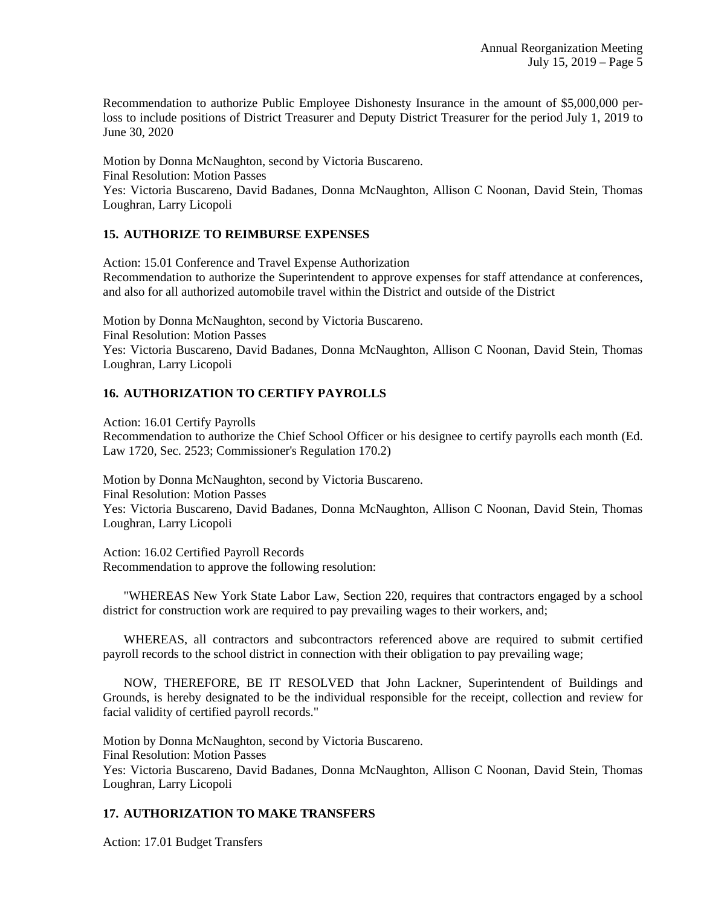Recommendation to authorize Public Employee Dishonesty Insurance in the amount of \$5,000,000 perloss to include positions of District Treasurer and Deputy District Treasurer for the period July 1, 2019 to June 30, 2020

Motion by Donna McNaughton, second by Victoria Buscareno. Final Resolution: Motion Passes

Yes: Victoria Buscareno, David Badanes, Donna McNaughton, Allison C Noonan, David Stein, Thomas Loughran, Larry Licopoli

## **15. AUTHORIZE TO REIMBURSE EXPENSES**

Action: 15.01 Conference and Travel Expense Authorization Recommendation to authorize the Superintendent to approve expenses for staff attendance at conferences, and also for all authorized automobile travel within the District and outside of the District

Motion by Donna McNaughton, second by Victoria Buscareno. Final Resolution: Motion Passes Yes: Victoria Buscareno, David Badanes, Donna McNaughton, Allison C Noonan, David Stein, Thomas Loughran, Larry Licopoli

# **16. AUTHORIZATION TO CERTIFY PAYROLLS**

Action: 16.01 Certify Payrolls Recommendation to authorize the Chief School Officer or his designee to certify payrolls each month (Ed. Law 1720, Sec. 2523; Commissioner's Regulation 170.2)

Motion by Donna McNaughton, second by Victoria Buscareno. Final Resolution: Motion Passes Yes: Victoria Buscareno, David Badanes, Donna McNaughton, Allison C Noonan, David Stein, Thomas Loughran, Larry Licopoli

Action: 16.02 Certified Payroll Records Recommendation to approve the following resolution:

 "WHEREAS New York State Labor Law, Section 220, requires that contractors engaged by a school district for construction work are required to pay prevailing wages to their workers, and;

 WHEREAS, all contractors and subcontractors referenced above are required to submit certified payroll records to the school district in connection with their obligation to pay prevailing wage;

 NOW, THEREFORE, BE IT RESOLVED that John Lackner, Superintendent of Buildings and Grounds, is hereby designated to be the individual responsible for the receipt, collection and review for facial validity of certified payroll records."

Motion by Donna McNaughton, second by Victoria Buscareno. Final Resolution: Motion Passes Yes: Victoria Buscareno, David Badanes, Donna McNaughton, Allison C Noonan, David Stein, Thomas Loughran, Larry Licopoli

## **17. AUTHORIZATION TO MAKE TRANSFERS**

Action: 17.01 Budget Transfers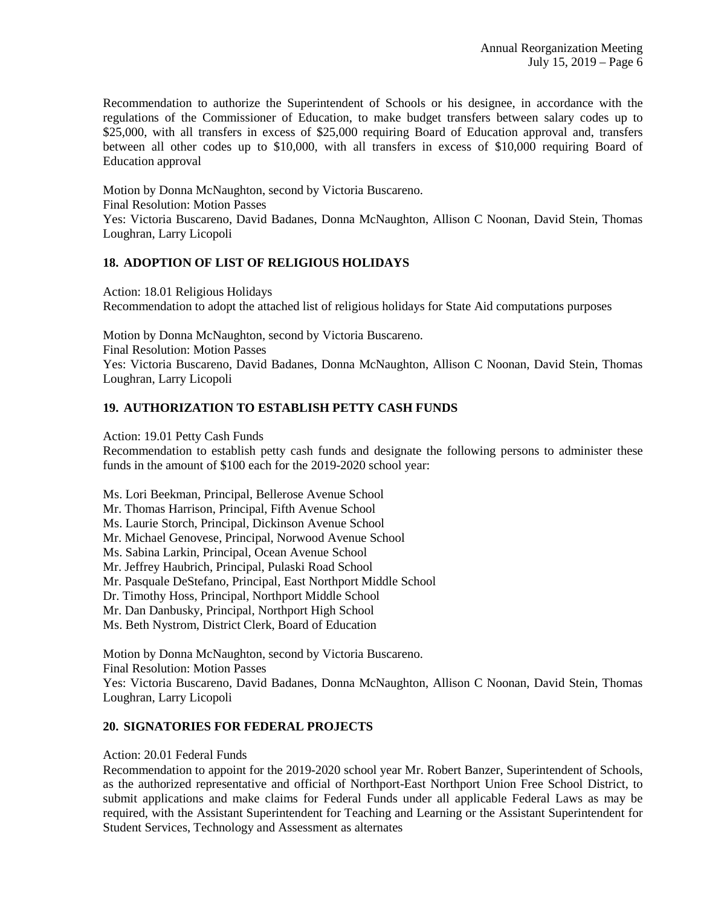Recommendation to authorize the Superintendent of Schools or his designee, in accordance with the regulations of the Commissioner of Education, to make budget transfers between salary codes up to \$25,000, with all transfers in excess of \$25,000 requiring Board of Education approval and, transfers between all other codes up to \$10,000, with all transfers in excess of \$10,000 requiring Board of Education approval

Motion by Donna McNaughton, second by Victoria Buscareno. Final Resolution: Motion Passes Yes: Victoria Buscareno, David Badanes, Donna McNaughton, Allison C Noonan, David Stein, Thomas Loughran, Larry Licopoli

### **18. ADOPTION OF LIST OF RELIGIOUS HOLIDAYS**

Action: 18.01 Religious Holidays Recommendation to adopt the attached list of religious holidays for State Aid computations purposes

Motion by Donna McNaughton, second by Victoria Buscareno. Final Resolution: Motion Passes Yes: Victoria Buscareno, David Badanes, Donna McNaughton, Allison C Noonan, David Stein, Thomas Loughran, Larry Licopoli

## **19. AUTHORIZATION TO ESTABLISH PETTY CASH FUNDS**

Action: 19.01 Petty Cash Funds

Recommendation to establish petty cash funds and designate the following persons to administer these funds in the amount of \$100 each for the 2019-2020 school year:

Ms. Lori Beekman, Principal, Bellerose Avenue School Mr. Thomas Harrison, Principal, Fifth Avenue School Ms. Laurie Storch, Principal, Dickinson Avenue School Mr. Michael Genovese, Principal, Norwood Avenue School Ms. Sabina Larkin, Principal, Ocean Avenue School Mr. Jeffrey Haubrich, Principal, Pulaski Road School Mr. Pasquale DeStefano, Principal, East Northport Middle School Dr. Timothy Hoss, Principal, Northport Middle School Mr. Dan Danbusky, Principal, Northport High School Ms. Beth Nystrom, District Clerk, Board of Education

Motion by Donna McNaughton, second by Victoria Buscareno. Final Resolution: Motion Passes Yes: Victoria Buscareno, David Badanes, Donna McNaughton, Allison C Noonan, David Stein, Thomas Loughran, Larry Licopoli

### **20. SIGNATORIES FOR FEDERAL PROJECTS**

### Action: 20.01 Federal Funds

Recommendation to appoint for the 2019-2020 school year Mr. Robert Banzer, Superintendent of Schools, as the authorized representative and official of Northport-East Northport Union Free School District, to submit applications and make claims for Federal Funds under all applicable Federal Laws as may be required, with the Assistant Superintendent for Teaching and Learning or the Assistant Superintendent for Student Services, Technology and Assessment as alternates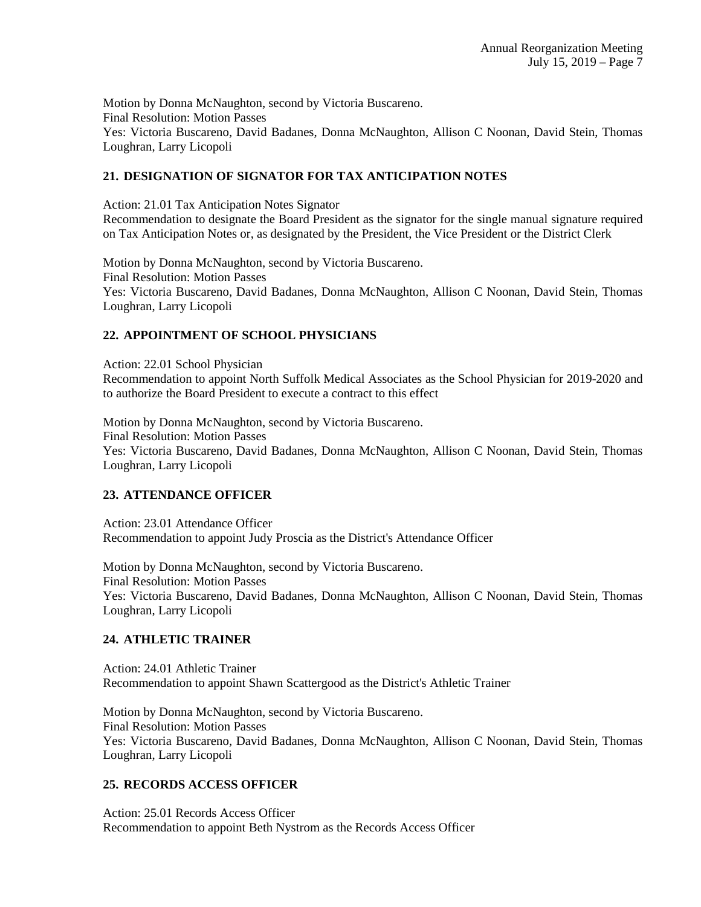Motion by Donna McNaughton, second by Victoria Buscareno. Final Resolution: Motion Passes Yes: Victoria Buscareno, David Badanes, Donna McNaughton, Allison C Noonan, David Stein, Thomas Loughran, Larry Licopoli

## **21. DESIGNATION OF SIGNATOR FOR TAX ANTICIPATION NOTES**

Action: 21.01 Tax Anticipation Notes Signator

Recommendation to designate the Board President as the signator for the single manual signature required on Tax Anticipation Notes or, as designated by the President, the Vice President or the District Clerk

Motion by Donna McNaughton, second by Victoria Buscareno. Final Resolution: Motion Passes Yes: Victoria Buscareno, David Badanes, Donna McNaughton, Allison C Noonan, David Stein, Thomas Loughran, Larry Licopoli

## **22. APPOINTMENT OF SCHOOL PHYSICIANS**

Action: 22.01 School Physician Recommendation to appoint North Suffolk Medical Associates as the School Physician for 2019-2020 and to authorize the Board President to execute a contract to this effect

Motion by Donna McNaughton, second by Victoria Buscareno. Final Resolution: Motion Passes Yes: Victoria Buscareno, David Badanes, Donna McNaughton, Allison C Noonan, David Stein, Thomas Loughran, Larry Licopoli

### **23. ATTENDANCE OFFICER**

Action: 23.01 Attendance Officer Recommendation to appoint Judy Proscia as the District's Attendance Officer

Motion by Donna McNaughton, second by Victoria Buscareno. Final Resolution: Motion Passes Yes: Victoria Buscareno, David Badanes, Donna McNaughton, Allison C Noonan, David Stein, Thomas Loughran, Larry Licopoli

### **24. ATHLETIC TRAINER**

Action: 24.01 Athletic Trainer Recommendation to appoint Shawn Scattergood as the District's Athletic Trainer

Motion by Donna McNaughton, second by Victoria Buscareno. Final Resolution: Motion Passes Yes: Victoria Buscareno, David Badanes, Donna McNaughton, Allison C Noonan, David Stein, Thomas Loughran, Larry Licopoli

### **25. RECORDS ACCESS OFFICER**

Action: 25.01 Records Access Officer Recommendation to appoint Beth Nystrom as the Records Access Officer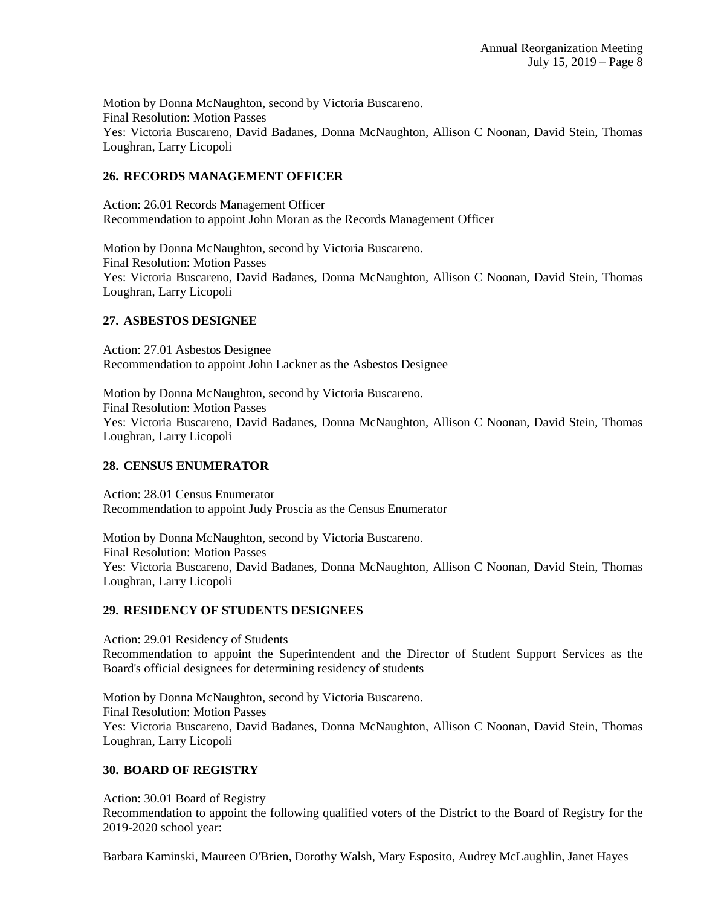Motion by Donna McNaughton, second by Victoria Buscareno. Final Resolution: Motion Passes Yes: Victoria Buscareno, David Badanes, Donna McNaughton, Allison C Noonan, David Stein, Thomas Loughran, Larry Licopoli

## **26. RECORDS MANAGEMENT OFFICER**

Action: 26.01 Records Management Officer Recommendation to appoint John Moran as the Records Management Officer

Motion by Donna McNaughton, second by Victoria Buscareno. Final Resolution: Motion Passes Yes: Victoria Buscareno, David Badanes, Donna McNaughton, Allison C Noonan, David Stein, Thomas Loughran, Larry Licopoli

### **27. ASBESTOS DESIGNEE**

Action: 27.01 Asbestos Designee Recommendation to appoint John Lackner as the Asbestos Designee

Motion by Donna McNaughton, second by Victoria Buscareno. Final Resolution: Motion Passes Yes: Victoria Buscareno, David Badanes, Donna McNaughton, Allison C Noonan, David Stein, Thomas Loughran, Larry Licopoli

## **28. CENSUS ENUMERATOR**

Action: 28.01 Census Enumerator Recommendation to appoint Judy Proscia as the Census Enumerator

Motion by Donna McNaughton, second by Victoria Buscareno. Final Resolution: Motion Passes Yes: Victoria Buscareno, David Badanes, Donna McNaughton, Allison C Noonan, David Stein, Thomas Loughran, Larry Licopoli

### **29. RESIDENCY OF STUDENTS DESIGNEES**

Action: 29.01 Residency of Students Recommendation to appoint the Superintendent and the Director of Student Support Services as the Board's official designees for determining residency of students

Motion by Donna McNaughton, second by Victoria Buscareno. Final Resolution: Motion Passes Yes: Victoria Buscareno, David Badanes, Donna McNaughton, Allison C Noonan, David Stein, Thomas Loughran, Larry Licopoli

### **30. BOARD OF REGISTRY**

Action: 30.01 Board of Registry Recommendation to appoint the following qualified voters of the District to the Board of Registry for the 2019-2020 school year:

Barbara Kaminski, Maureen O'Brien, Dorothy Walsh, Mary Esposito, Audrey McLaughlin, Janet Hayes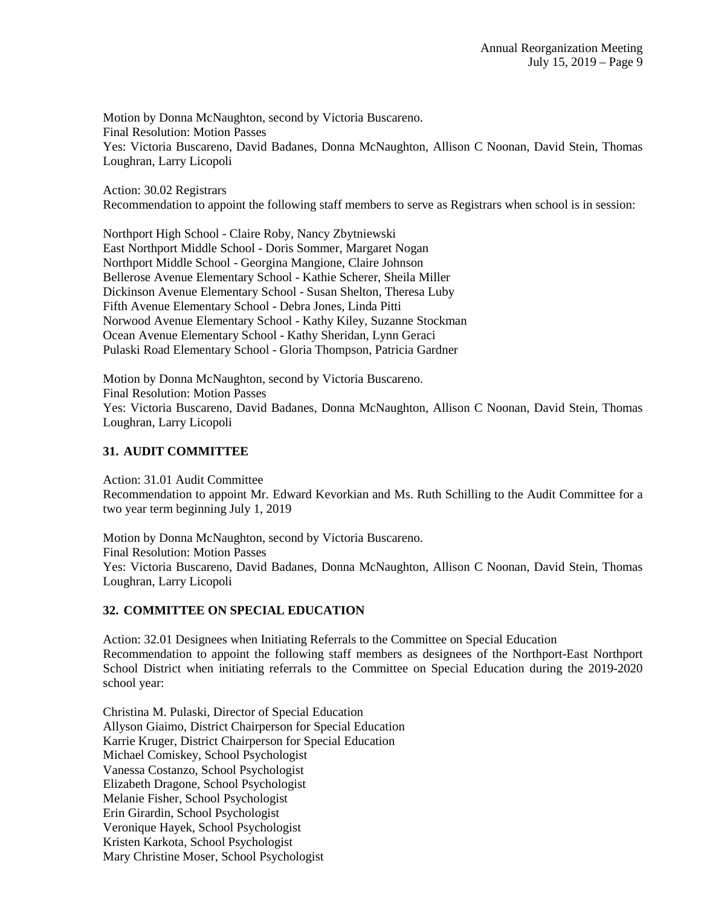Motion by Donna McNaughton, second by Victoria Buscareno. Final Resolution: Motion Passes Yes: Victoria Buscareno, David Badanes, Donna McNaughton, Allison C Noonan, David Stein, Thomas Loughran, Larry Licopoli

Action: 30.02 Registrars Recommendation to appoint the following staff members to serve as Registrars when school is in session:

Northport High School - Claire Roby, Nancy Zbytniewski East Northport Middle School - Doris Sommer, Margaret Nogan Northport Middle School - Georgina Mangione, Claire Johnson Bellerose Avenue Elementary School - Kathie Scherer, Sheila Miller Dickinson Avenue Elementary School - Susan Shelton, Theresa Luby Fifth Avenue Elementary School - Debra Jones, Linda Pitti Norwood Avenue Elementary School - Kathy Kiley, Suzanne Stockman Ocean Avenue Elementary School - Kathy Sheridan, Lynn Geraci Pulaski Road Elementary School - Gloria Thompson, Patricia Gardner

Motion by Donna McNaughton, second by Victoria Buscareno. Final Resolution: Motion Passes Yes: Victoria Buscareno, David Badanes, Donna McNaughton, Allison C Noonan, David Stein, Thomas Loughran, Larry Licopoli

### **31. AUDIT COMMITTEE**

Action: 31.01 Audit Committee Recommendation to appoint Mr. Edward Kevorkian and Ms. Ruth Schilling to the Audit Committee for a two year term beginning July 1, 2019

Motion by Donna McNaughton, second by Victoria Buscareno. Final Resolution: Motion Passes Yes: Victoria Buscareno, David Badanes, Donna McNaughton, Allison C Noonan, David Stein, Thomas Loughran, Larry Licopoli

### **32. COMMITTEE ON SPECIAL EDUCATION**

Action: 32.01 Designees when Initiating Referrals to the Committee on Special Education Recommendation to appoint the following staff members as designees of the Northport-East Northport School District when initiating referrals to the Committee on Special Education during the 2019-2020 school year:

Christina M. Pulaski, Director of Special Education Allyson Giaimo, District Chairperson for Special Education Karrie Kruger, District Chairperson for Special Education Michael Comiskey, School Psychologist Vanessa Costanzo, School Psychologist Elizabeth Dragone, School Psychologist Melanie Fisher, School Psychologist Erin Girardin, School Psychologist Veronique Hayek, School Psychologist Kristen Karkota, School Psychologist Mary Christine Moser, School Psychologist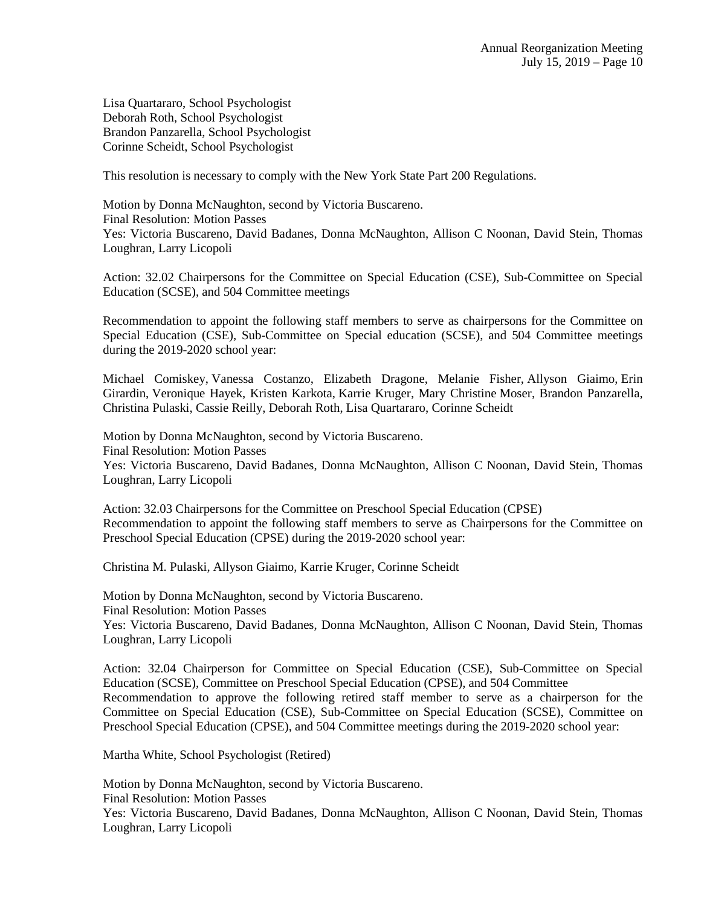Lisa Quartararo, School Psychologist Deborah Roth, School Psychologist Brandon Panzarella, School Psychologist Corinne Scheidt, School Psychologist

This resolution is necessary to comply with the New York State Part 200 Regulations.

Motion by Donna McNaughton, second by Victoria Buscareno. Final Resolution: Motion Passes Yes: Victoria Buscareno, David Badanes, Donna McNaughton, Allison C Noonan, David Stein, Thomas Loughran, Larry Licopoli

Action: 32.02 Chairpersons for the Committee on Special Education (CSE), Sub-Committee on Special Education (SCSE), and 504 Committee meetings

Recommendation to appoint the following staff members to serve as chairpersons for the Committee on Special Education (CSE), Sub-Committee on Special education (SCSE), and 504 Committee meetings during the 2019-2020 school year:

Michael Comiskey, Vanessa Costanzo, Elizabeth Dragone, Melanie Fisher, Allyson Giaimo, Erin Girardin, Veronique Hayek, Kristen Karkota, Karrie Kruger, Mary Christine Moser, Brandon Panzarella, Christina Pulaski, Cassie Reilly, Deborah Roth, Lisa Quartararo, Corinne Scheidt

Motion by Donna McNaughton, second by Victoria Buscareno. Final Resolution: Motion Passes Yes: Victoria Buscareno, David Badanes, Donna McNaughton, Allison C Noonan, David Stein, Thomas Loughran, Larry Licopoli

Action: 32.03 Chairpersons for the Committee on Preschool Special Education (CPSE) Recommendation to appoint the following staff members to serve as Chairpersons for the Committee on Preschool Special Education (CPSE) during the 2019-2020 school year:

Christina M. Pulaski, Allyson Giaimo, Karrie Kruger, Corinne Scheidt

Motion by Donna McNaughton, second by Victoria Buscareno. Final Resolution: Motion Passes Yes: Victoria Buscareno, David Badanes, Donna McNaughton, Allison C Noonan, David Stein, Thomas Loughran, Larry Licopoli

Action: 32.04 Chairperson for Committee on Special Education (CSE), Sub-Committee on Special Education (SCSE), Committee on Preschool Special Education (CPSE), and 504 Committee Recommendation to approve the following retired staff member to serve as a chairperson for the Committee on Special Education (CSE), Sub-Committee on Special Education (SCSE), Committee on Preschool Special Education (CPSE), and 504 Committee meetings during the 2019-2020 school year:

Martha White, School Psychologist (Retired)

Motion by Donna McNaughton, second by Victoria Buscareno. Final Resolution: Motion Passes Yes: Victoria Buscareno, David Badanes, Donna McNaughton, Allison C Noonan, David Stein, Thomas Loughran, Larry Licopoli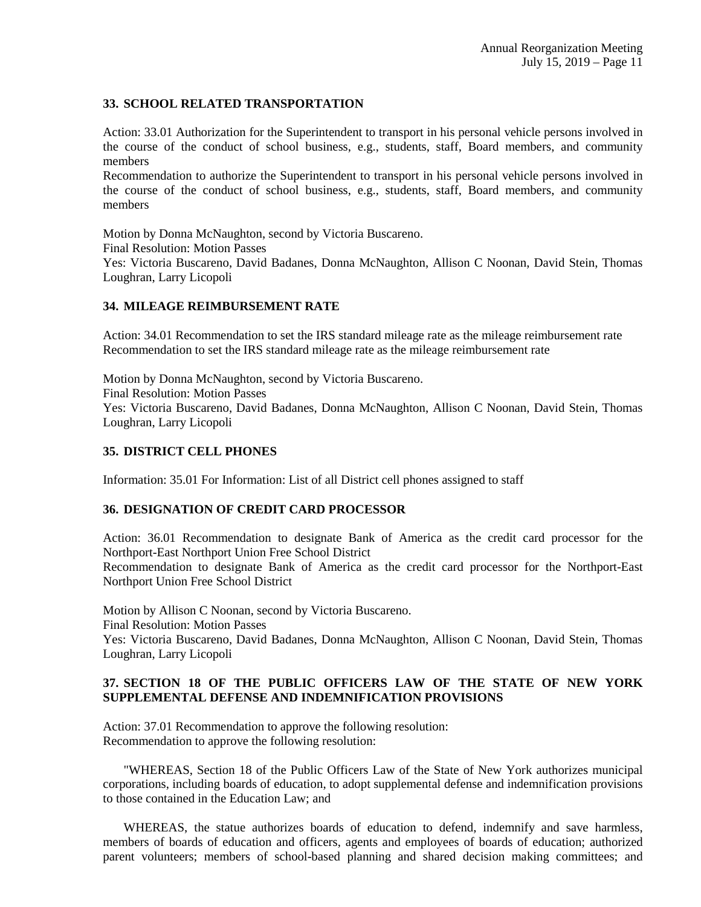### **33. SCHOOL RELATED TRANSPORTATION**

Action: 33.01 Authorization for the Superintendent to transport in his personal vehicle persons involved in the course of the conduct of school business, e.g., students, staff, Board members, and community members

Recommendation to authorize the Superintendent to transport in his personal vehicle persons involved in the course of the conduct of school business, e.g., students, staff, Board members, and community members

Motion by Donna McNaughton, second by Victoria Buscareno. Final Resolution: Motion Passes Yes: Victoria Buscareno, David Badanes, Donna McNaughton, Allison C Noonan, David Stein, Thomas Loughran, Larry Licopoli

### **34. MILEAGE REIMBURSEMENT RATE**

Action: 34.01 Recommendation to set the IRS standard mileage rate as the mileage reimbursement rate Recommendation to set the IRS standard mileage rate as the mileage reimbursement rate

Motion by Donna McNaughton, second by Victoria Buscareno. Final Resolution: Motion Passes Yes: Victoria Buscareno, David Badanes, Donna McNaughton, Allison C Noonan, David Stein, Thomas Loughran, Larry Licopoli

### **35. DISTRICT CELL PHONES**

Information: 35.01 For Information: List of all District cell phones assigned to staff

### **36. DESIGNATION OF CREDIT CARD PROCESSOR**

Action: 36.01 Recommendation to designate Bank of America as the credit card processor for the Northport-East Northport Union Free School District

Recommendation to designate Bank of America as the credit card processor for the Northport-East Northport Union Free School District

Motion by Allison C Noonan, second by Victoria Buscareno. Final Resolution: Motion Passes Yes: Victoria Buscareno, David Badanes, Donna McNaughton, Allison C Noonan, David Stein, Thomas Loughran, Larry Licopoli

### **37. SECTION 18 OF THE PUBLIC OFFICERS LAW OF THE STATE OF NEW YORK SUPPLEMENTAL DEFENSE AND INDEMNIFICATION PROVISIONS**

Action: 37.01 Recommendation to approve the following resolution: Recommendation to approve the following resolution:

 "WHEREAS, Section 18 of the Public Officers Law of the State of New York authorizes municipal corporations, including boards of education, to adopt supplemental defense and indemnification provisions to those contained in the Education Law; and

 WHEREAS, the statue authorizes boards of education to defend, indemnify and save harmless, members of boards of education and officers, agents and employees of boards of education; authorized parent volunteers; members of school-based planning and shared decision making committees; and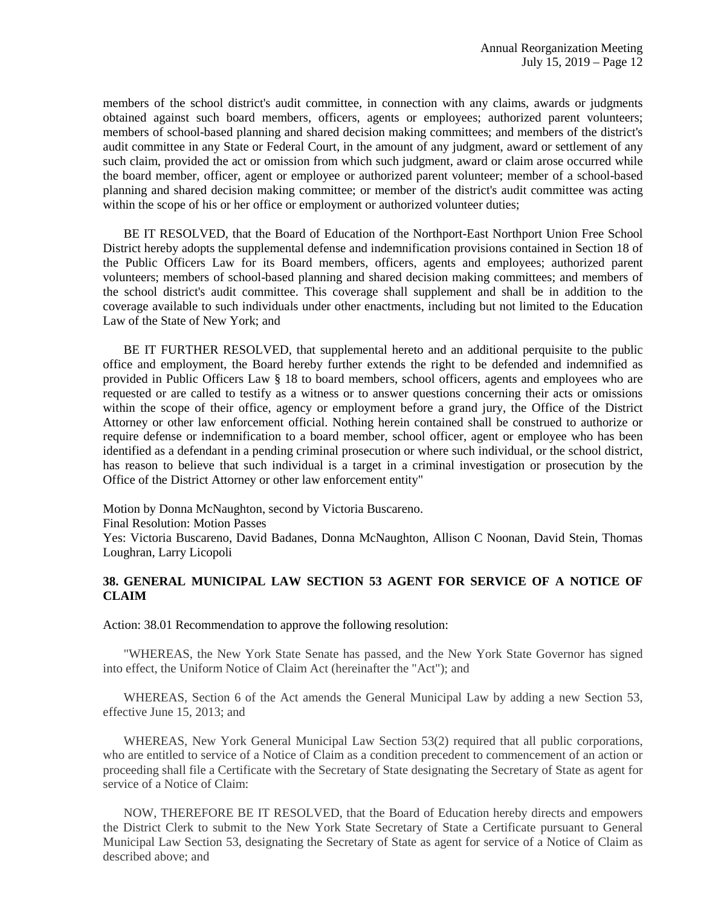members of the school district's audit committee, in connection with any claims, awards or judgments obtained against such board members, officers, agents or employees; authorized parent volunteers; members of school-based planning and shared decision making committees; and members of the district's audit committee in any State or Federal Court, in the amount of any judgment, award or settlement of any such claim, provided the act or omission from which such judgment, award or claim arose occurred while the board member, officer, agent or employee or authorized parent volunteer; member of a school-based planning and shared decision making committee; or member of the district's audit committee was acting within the scope of his or her office or employment or authorized volunteer duties;

 BE IT RESOLVED, that the Board of Education of the Northport-East Northport Union Free School District hereby adopts the supplemental defense and indemnification provisions contained in Section 18 of the Public Officers Law for its Board members, officers, agents and employees; authorized parent volunteers; members of school-based planning and shared decision making committees; and members of the school district's audit committee. This coverage shall supplement and shall be in addition to the coverage available to such individuals under other enactments, including but not limited to the Education Law of the State of New York; and

 BE IT FURTHER RESOLVED, that supplemental hereto and an additional perquisite to the public office and employment, the Board hereby further extends the right to be defended and indemnified as provided in Public Officers Law § 18 to board members, school officers, agents and employees who are requested or are called to testify as a witness or to answer questions concerning their acts or omissions within the scope of their office, agency or employment before a grand jury, the Office of the District Attorney or other law enforcement official. Nothing herein contained shall be construed to authorize or require defense or indemnification to a board member, school officer, agent or employee who has been identified as a defendant in a pending criminal prosecution or where such individual, or the school district, has reason to believe that such individual is a target in a criminal investigation or prosecution by the Office of the District Attorney or other law enforcement entity"

Motion by Donna McNaughton, second by Victoria Buscareno.

Final Resolution: Motion Passes

Yes: Victoria Buscareno, David Badanes, Donna McNaughton, Allison C Noonan, David Stein, Thomas Loughran, Larry Licopoli

### **38. GENERAL MUNICIPAL LAW SECTION 53 AGENT FOR SERVICE OF A NOTICE OF CLAIM**

Action: 38.01 Recommendation to approve the following resolution:

"WHEREAS, the New York State Senate has passed, and the New York State Governor has signed into effect, the Uniform Notice of Claim Act (hereinafter the "Act"); and

WHEREAS, Section 6 of the Act amends the General Municipal Law by adding a new Section 53, effective June 15, 2013; and

WHEREAS, New York General Municipal Law Section 53(2) required that all public corporations, who are entitled to service of a Notice of Claim as a condition precedent to commencement of an action or proceeding shall file a Certificate with the Secretary of State designating the Secretary of State as agent for service of a Notice of Claim:

NOW, THEREFORE BE IT RESOLVED, that the Board of Education hereby directs and empowers the District Clerk to submit to the New York State Secretary of State a Certificate pursuant to General Municipal Law Section 53, designating the Secretary of State as agent for service of a Notice of Claim as described above; and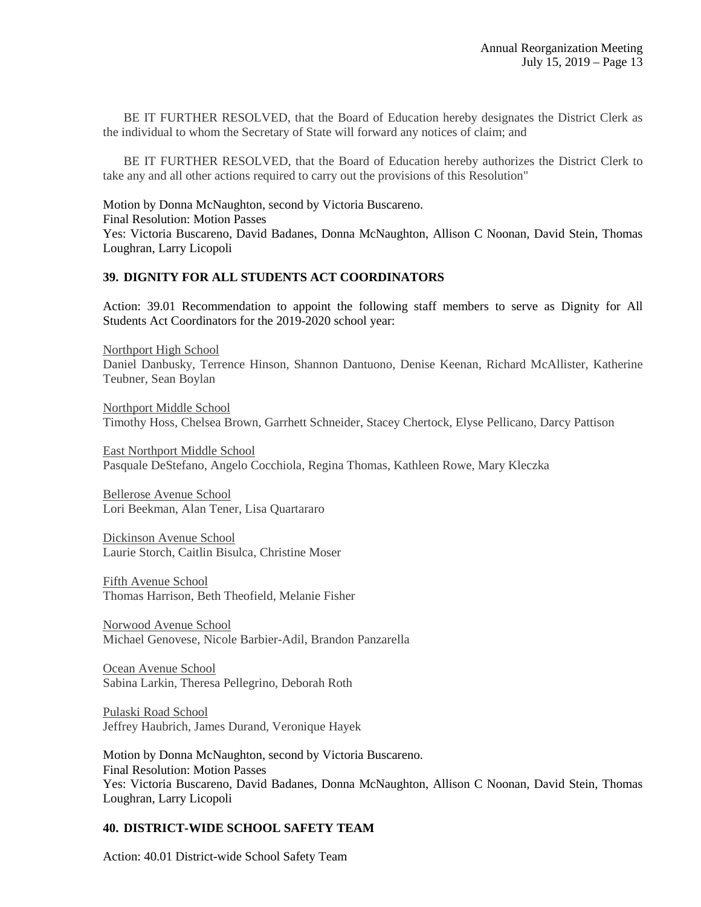BE IT FURTHER RESOLVED, that the Board of Education hereby designates the District Clerk as the individual to whom the Secretary of State will forward any notices of claim; and

BE IT FURTHER RESOLVED, that the Board of Education hereby authorizes the District Clerk to take any and all other actions required to carry out the provisions of this Resolution"

Motion by Donna McNaughton, second by Victoria Buscareno. Final Resolution: Motion Passes Yes: Victoria Buscareno, David Badanes, Donna McNaughton, Allison C Noonan, David Stein, Thomas Loughran, Larry Licopoli

### **39. DIGNITY FOR ALL STUDENTS ACT COORDINATORS**

Action: 39.01 Recommendation to appoint the following staff members to serve as Dignity for All Students Act Coordinators for the 2019-2020 school year:

Northport High School Daniel Danbusky, Terrence Hinson, Shannon Dantuono, Denise Keenan, Richard McAllister, Katherine Teubner, Sean Boylan

Northport Middle School Timothy Hoss, Chelsea Brown, Garrhett Schneider, Stacey Chertock, Elyse Pellicano, Darcy Pattison

East Northport Middle School Pasquale DeStefano, Angelo Cocchiola, Regina Thomas, Kathleen Rowe, Mary Kleczka

Bellerose Avenue School Lori Beekman, Alan Tener, Lisa Quartararo

Dickinson Avenue School Laurie Storch, Caitlin Bisulca, Christine Moser

Fifth Avenue School Thomas Harrison, Beth Theofield, Melanie Fisher

Norwood Avenue School Michael Genovese, Nicole Barbier-Adil, Brandon Panzarella

Ocean Avenue School Sabina Larkin, Theresa Pellegrino, Deborah Roth

Pulaski Road School Jeffrey Haubrich, James Durand, Veronique Hayek

Motion by Donna McNaughton, second by Victoria Buscareno. Final Resolution: Motion Passes Yes: Victoria Buscareno, David Badanes, Donna McNaughton, Allison C Noonan, David Stein, Thomas Loughran, Larry Licopoli

## **40. DISTRICT-WIDE SCHOOL SAFETY TEAM**

Action: 40.01 District-wide School Safety Team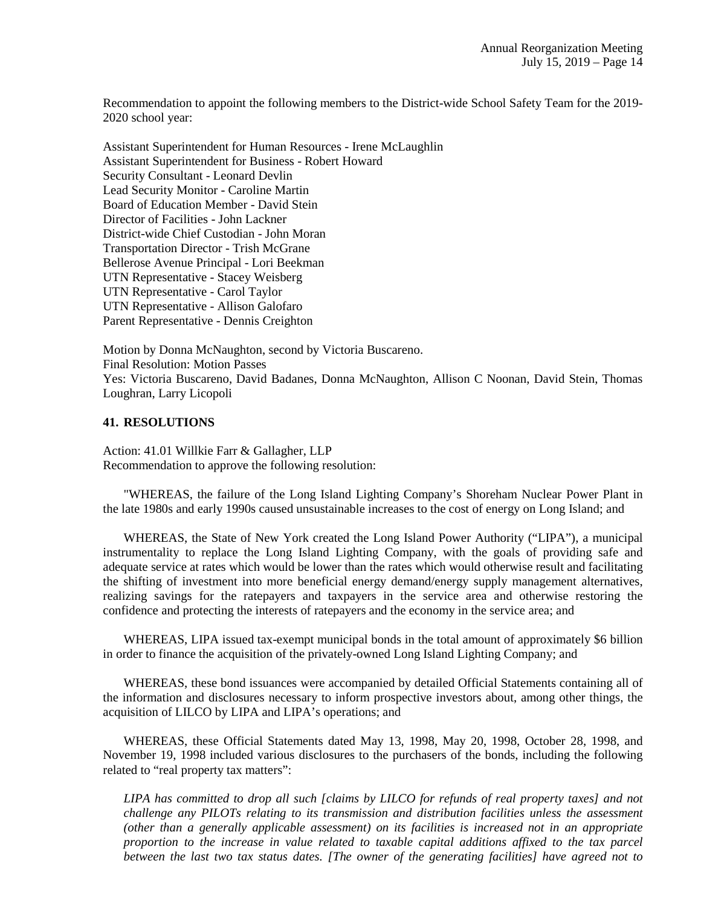Recommendation to appoint the following members to the District-wide School Safety Team for the 2019- 2020 school year:

Assistant Superintendent for Human Resources - Irene McLaughlin Assistant Superintendent for Business - Robert Howard Security Consultant - Leonard Devlin Lead Security Monitor - Caroline Martin Board of Education Member - David Stein Director of Facilities - John Lackner District-wide Chief Custodian - John Moran Transportation Director - Trish McGrane Bellerose Avenue Principal - Lori Beekman UTN Representative - Stacey Weisberg UTN Representative - Carol Taylor UTN Representative - Allison Galofaro Parent Representative - Dennis Creighton

Motion by Donna McNaughton, second by Victoria Buscareno. Final Resolution: Motion Passes Yes: Victoria Buscareno, David Badanes, Donna McNaughton, Allison C Noonan, David Stein, Thomas Loughran, Larry Licopoli

#### **41. RESOLUTIONS**

Action: 41.01 Willkie Farr & Gallagher, LLP Recommendation to approve the following resolution:

 "WHEREAS, the failure of the Long Island Lighting Company's Shoreham Nuclear Power Plant in the late 1980s and early 1990s caused unsustainable increases to the cost of energy on Long Island; and

 WHEREAS, the State of New York created the Long Island Power Authority ("LIPA"), a municipal instrumentality to replace the Long Island Lighting Company, with the goals of providing safe and adequate service at rates which would be lower than the rates which would otherwise result and facilitating the shifting of investment into more beneficial energy demand/energy supply management alternatives, realizing savings for the ratepayers and taxpayers in the service area and otherwise restoring the confidence and protecting the interests of ratepayers and the economy in the service area; and

 WHEREAS, LIPA issued tax-exempt municipal bonds in the total amount of approximately \$6 billion in order to finance the acquisition of the privately-owned Long Island Lighting Company; and

 WHEREAS, these bond issuances were accompanied by detailed Official Statements containing all of the information and disclosures necessary to inform prospective investors about, among other things, the acquisition of LILCO by LIPA and LIPA's operations; and

 WHEREAS, these Official Statements dated May 13, 1998, May 20, 1998, October 28, 1998, and November 19, 1998 included various disclosures to the purchasers of the bonds, including the following related to "real property tax matters":

*LIPA has committed to drop all such [claims by LILCO for refunds of real property taxes] and not challenge any PILOTs relating to its transmission and distribution facilities unless the assessment (other than a generally applicable assessment) on its facilities is increased not in an appropriate proportion to the increase in value related to taxable capital additions affixed to the tax parcel between the last two tax status dates. [The owner of the generating facilities] have agreed not to*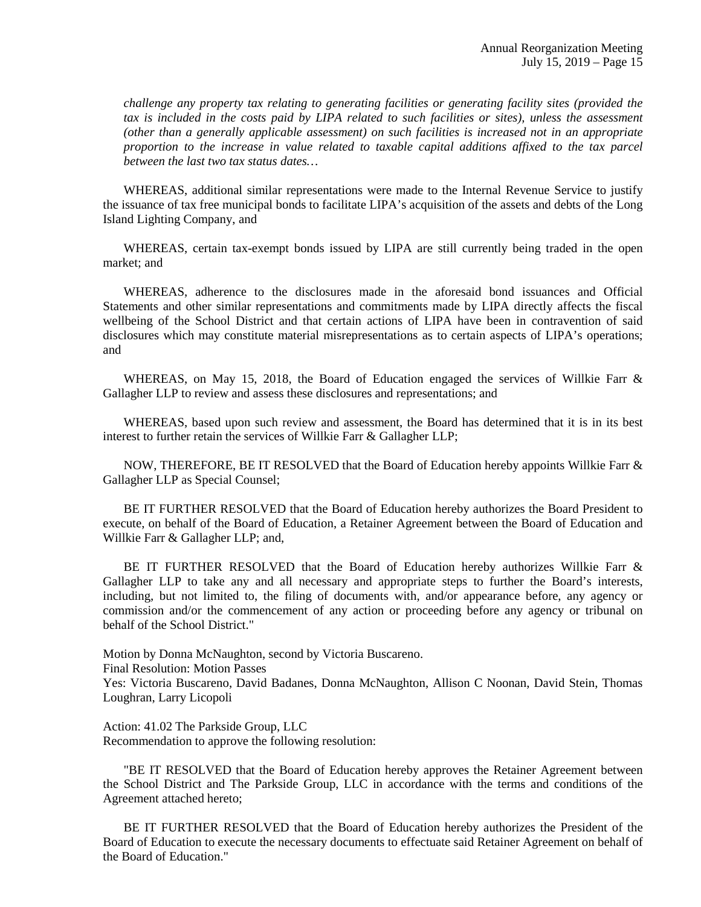*challenge any property tax relating to generating facilities or generating facility sites (provided the tax is included in the costs paid by LIPA related to such facilities or sites), unless the assessment (other than a generally applicable assessment) on such facilities is increased not in an appropriate proportion to the increase in value related to taxable capital additions affixed to the tax parcel between the last two tax status dates…* 

 WHEREAS, additional similar representations were made to the Internal Revenue Service to justify the issuance of tax free municipal bonds to facilitate LIPA's acquisition of the assets and debts of the Long Island Lighting Company, and

WHEREAS, certain tax-exempt bonds issued by LIPA are still currently being traded in the open market; and

 WHEREAS, adherence to the disclosures made in the aforesaid bond issuances and Official Statements and other similar representations and commitments made by LIPA directly affects the fiscal wellbeing of the School District and that certain actions of LIPA have been in contravention of said disclosures which may constitute material misrepresentations as to certain aspects of LIPA's operations; and

WHEREAS, on May 15, 2018, the Board of Education engaged the services of Willkie Farr  $\&$ Gallagher LLP to review and assess these disclosures and representations; and

 WHEREAS, based upon such review and assessment, the Board has determined that it is in its best interest to further retain the services of Willkie Farr & Gallagher LLP;

 NOW, THEREFORE, BE IT RESOLVED that the Board of Education hereby appoints Willkie Farr & Gallagher LLP as Special Counsel;

 BE IT FURTHER RESOLVED that the Board of Education hereby authorizes the Board President to execute, on behalf of the Board of Education, a Retainer Agreement between the Board of Education and Willkie Farr & Gallagher LLP; and,

 BE IT FURTHER RESOLVED that the Board of Education hereby authorizes Willkie Farr & Gallagher LLP to take any and all necessary and appropriate steps to further the Board's interests, including, but not limited to, the filing of documents with, and/or appearance before, any agency or commission and/or the commencement of any action or proceeding before any agency or tribunal on behalf of the School District."

Motion by Donna McNaughton, second by Victoria Buscareno.

Final Resolution: Motion Passes

Yes: Victoria Buscareno, David Badanes, Donna McNaughton, Allison C Noonan, David Stein, Thomas Loughran, Larry Licopoli

Action: 41.02 The Parkside Group, LLC Recommendation to approve the following resolution:

 "BE IT RESOLVED that the Board of Education hereby approves the Retainer Agreement between the School District and The Parkside Group, LLC in accordance with the terms and conditions of the Agreement attached hereto;

 BE IT FURTHER RESOLVED that the Board of Education hereby authorizes the President of the Board of Education to execute the necessary documents to effectuate said Retainer Agreement on behalf of the Board of Education."